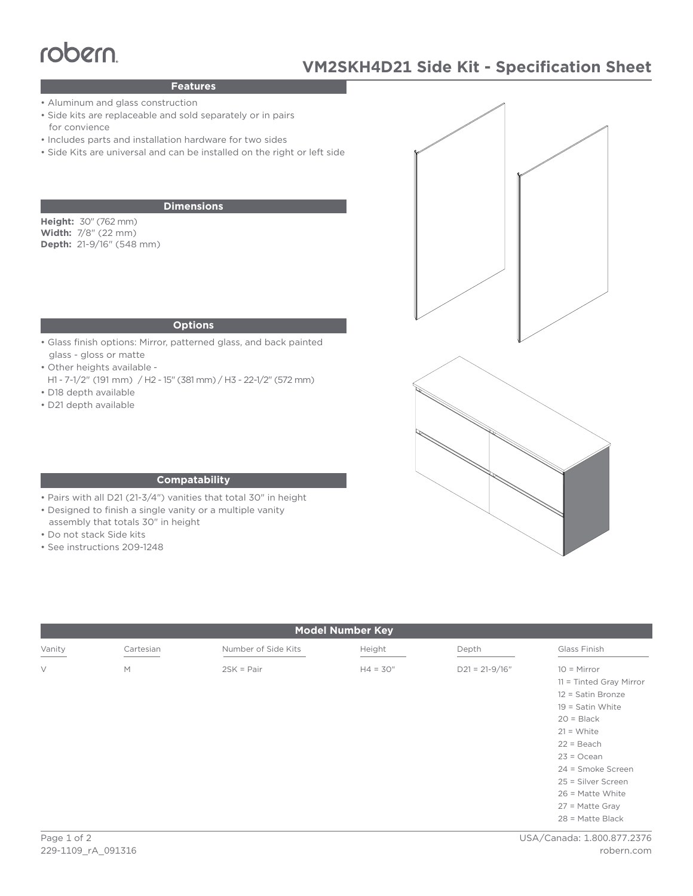# robern

# **VM2SKH4D21 Side Kit - Specification Sheet**

### **Features**

- Aluminum and glass construction
- Side kits are replaceable and sold separately or in pairs for convience
- Includes parts and installation hardware for two sides
- Side Kits are universal and can be installed on the right or left side

#### **Dimensions**

**Height:** 30" (762 mm) **Width:** 7/8" (22 mm) **Depth:** 21-9/16" (548 mm)

#### **Options**

- Glass finish options: Mirror, patterned glass, and back painted glass - gloss or matte
- Other heights available -
- H1 7-1/2" (191 mm) / H2 15" (381 mm) / H3 22-1/2" (572 mm) • D18 depth available
- D21 depth available



#### **Compatability**

- Pairs with all D21 (21-3/4") vanities that total 30" in height
- Designed to finish a single vanity or a multiple vanity
- assembly that totals 30" in height
- Do not stack Side kits
- See instructions 209-1248

| <b>Model Number Key</b> |           |                     |            |                    |                                                                                                                                                                                                                                                                   |
|-------------------------|-----------|---------------------|------------|--------------------|-------------------------------------------------------------------------------------------------------------------------------------------------------------------------------------------------------------------------------------------------------------------|
| Vanity                  | Cartesian | Number of Side Kits | Height     | Depth              | Glass Finish                                                                                                                                                                                                                                                      |
| $\vee$                  | M         | $2SK = Pair$        | $H4 = 30"$ | $D21 = 21 - 9/16"$ | $10 =$ Mirror<br>$11 =$ Tinted Gray Mirror<br>12 = Satin Bronze<br>$19 =$ Satin White<br>$20 = Black$<br>$21 = White$<br>$22 = Beach$<br>$23 = Ocean$<br>24 = Smoke Screen<br>25 = Silver Screen<br>$26$ = Matte White<br>$27$ = Matte Gray<br>$28$ = Matte Black |